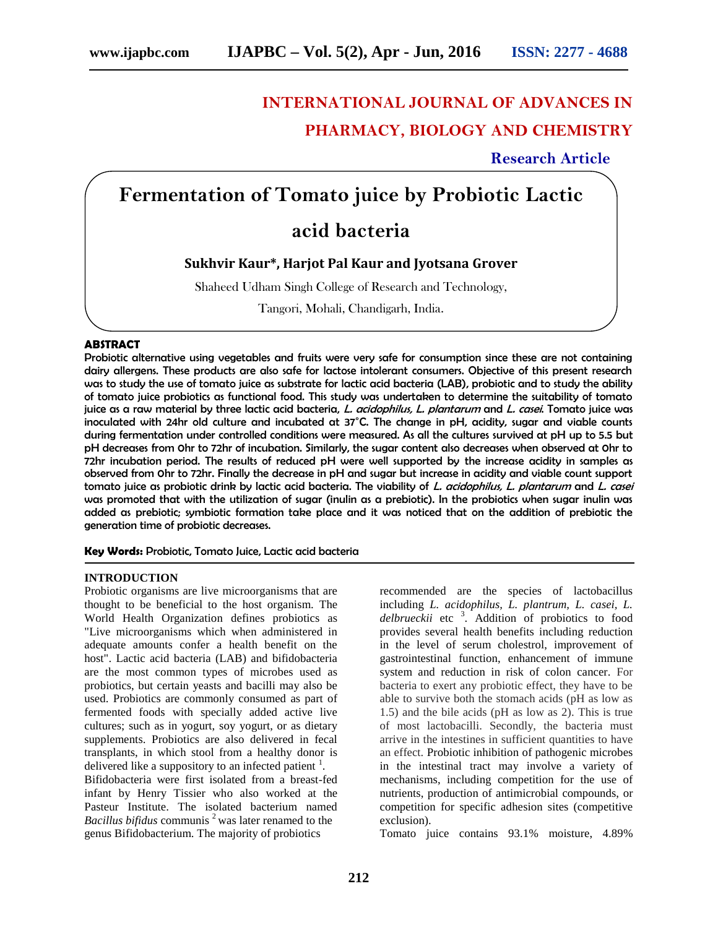# **INTERNATIONAL JOURNAL OF ADVANCES IN PHARMACY, BIOLOGY AND CHEMISTRY**

**Research Article**

## **Fermentation of Tomato juice by Probiotic Lactic**

## **acid bacteria**

**Sukhvir Kaur\*, Harjot Pal Kaur and Jyotsana Grover**

Shaheed Udham Singh College of Research and Technology,

Tangori, Mohali, Chandigarh, India.

## **ABSTRACT**

Probiotic alternative using vegetables and fruits were very safe for consumption since these are not containing dairy allergens. These products are also safe for lactose intolerant consumers. Objective of this present research was to study the use of tomato juice as substrate for lactic acid bacteria (LAB), probiotic and to study the ability of tomato juice probiotics as functional food. This study was undertaken to determine the suitability of tomato juice as a raw material by three lactic acid bacteria, *L. acidophilus, L. plantarum* and *L. casei*. Tomato juice was inoculated with 24hr old culture and incubated at 37˚C. The change in pH, acidity, sugar and viable counts during fermentation under controlled conditions were measured. As all the cultures survived at pH up to 5.5 but pH decreases from 0hr to 72hr of incubation. Similarly, the sugar content also decreases when observed at 0hr to 72hr incubation period. The results of reduced pH were well supported by the increase acidity in samples as observed from 0hr to 72hr. Finally the decrease in pH and sugar but increase in acidity and viable count support tomato juice as probiotic drink by lactic acid bacteria. The viability of *L. acidophilus, L. plantarum* and *L. casei* was promoted that with the utilization of sugar (inulin as a prebiotic). In the probiotics when sugar inulin was added as prebiotic; symbiotic formation take place and it was noticed that on the addition of prebiotic the generation time of probiotic decreases.

**Key Words:** Probiotic, Tomato Juice, Lactic acid bacteria

## **INTRODUCTION**

Probiotic organisms are live microorganisms that are thought to be beneficial to the host organism. The World Health Organization defines probiotics as "Live microorganisms which when administered in adequate amounts confer a health benefit on the host". Lactic acid bacteria (LAB) and bifidobacteria are the most common types of microbes used as probiotics, but certain yeasts and bacilli may also be used. Probiotics are commonly consumed as part of fermented foods with specially added active live cultures; such as in yogurt, soy yogurt, or as dietary supplements. Probiotics are also delivered in fecal transplants, in which stool from a healthy donor is delivered like a suppository to an infected patient  $\frac{1}{1}$ . Bifidobacteria were first isolated from a breast-fed

infant by Henry Tissier who also worked at the Pasteur Institute. The isolated bacterium named *Bacillus bifidus* communis<sup>2</sup> was later renamed to the genus Bifidobacterium. The majority of probiotics

recommended are the species of lactobacillus including *L. acidophilus, L. plantrum, L. casei, L. delbrueckii* etc <sup>3</sup> . Addition of probiotics to food provides several health benefits including reduction in the level of serum cholestrol, improvement of gastrointestinal function, enhancement of immune system and reduction in risk of colon cancer. For bacteria to exert any probiotic effect, they have to be able to survive both the stomach acids (pH as low as 1.5) and the bile acids (pH as low as 2). This is true of most lactobacilli. Secondly, the bacteria must arrive in the intestines in sufficient quantities to have an effect. Probiotic inhibition of pathogenic microbes in the intestinal tract may involve a variety of mechanisms, including competition for the use of nutrients, production of antimicrobial compounds, or competition for specific adhesion sites (competitive exclusion).

Tomato juice contains 93.1% moisture, 4.89%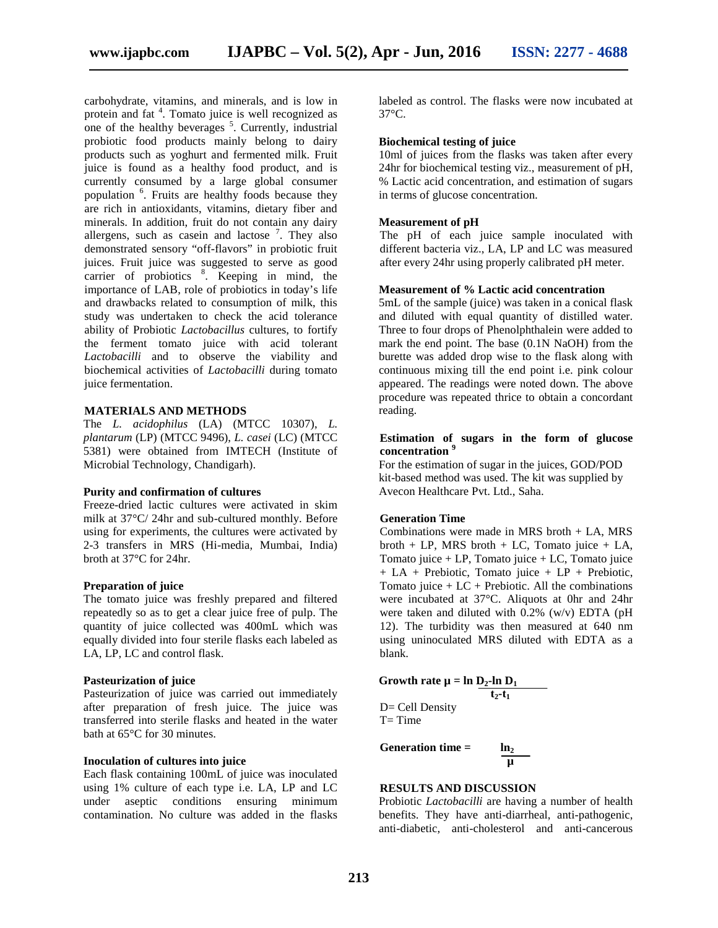carbohydrate, vitamins, and minerals, and is low in protein and fat <sup>4</sup>. Tomato juice is well recognized as one of the healthy beverages  $5$ . Currently, industrial probiotic food products mainly belong to dairy products such as yoghurt and fermented milk. Fruit juice is found as a healthy food product, and is currently consumed by a large global consumer population <sup>6</sup>. Fruits are healthy foods because they are rich in antioxidants, vitamins, dietary fiber and minerals. In addition, fruit do not contain any dairy allergens, such as casein and lactose  $\frac{7}{1}$ . They also demonstrated sensory "off-flavors" in probiotic fruit juices. Fruit juice was suggested to serve as good carrier of probiotics <sup>8</sup>. Keeping in mind, the importance of LAB, role of probiotics in today's life and drawbacks related to consumption of milk, this study was undertaken to check the acid tolerance ability of Probiotic *Lactobacillus* cultures, to fortify the ferment tomato juice with acid tolerant *Lactobacilli* and to observe the viability and biochemical activities of *Lactobacilli* during tomato juice fermentation.

## **MATERIALS AND METHODS**

The *L. acidophilus* (LA) (MTCC 10307), *L. plantarum* (LP) (MTCC 9496), *L. casei* (LC) (MTCC 5381) were obtained from IMTECH (Institute of Microbial Technology, Chandigarh).

#### **Purity and confirmation of cultures**

Freeze-dried lactic cultures were activated in skim milk at 37°C/ 24hr and sub-cultured monthly. Before using for experiments, the cultures were activated by 2-3 transfers in MRS (Hi-media, Mumbai, India) broth at 37°C for 24hr.

#### **Preparation of juice**

The tomato juice was freshly prepared and filtered repeatedly so as to get a clear juice free of pulp. The quantity of juice collected was 400mL which was equally divided into four sterile flasks each labeled as LA, LP, LC and control flask.

## **Pasteurization of juice**

Pasteurization of juice was carried out immediately after preparation of fresh juice. The juice was transferred into sterile flasks and heated in the water bath at 65°C for 30 minutes.

## **Inoculation of cultures into juice**

Each flask containing 100mL of juice was inoculated using 1% culture of each type i.e. LA, LP and LC under aseptic conditions ensuring minimum contamination. No culture was added in the flasks labeled as control. The flasks were now incubated at 37°C.

## **Biochemical testing of juice**

10ml of juices from the flasks was taken after every 24hr for biochemical testing viz., measurement of pH, % Lactic acid concentration, and estimation of sugars in terms of glucose concentration.

#### **Measurement of pH**

The pH of each juice sample inoculated with different bacteria viz., LA, LP and LC was measured after every 24hr using properly calibrated pH meter.

## **Measurement of % Lactic acid concentration**

5mL of the sample (juice) was taken in a conical flask and diluted with equal quantity of distilled water. Three to four drops of Phenolphthalein were added to mark the end point. The base (0.1N NaOH) from the burette was added drop wise to the flask along with continuous mixing till the end point i.e. pink colour appeared. The readings were noted down. The above procedure was repeated thrice to obtain a concordant reading.

## **Estimation of sugars in the form of glucose concentration <sup>9</sup>**

For the estimation of sugar in the juices, GOD/POD kit-based method was used. The kit was supplied by Avecon Healthcare Pvt. Ltd., Saha.

## **Generation Time**

Combinations were made in MRS broth + LA, MRS broth + LP, MRS broth + LC, Tomato juice + LA, Tomato juice  $+$  LP, Tomato juice  $+$  LC, Tomato juice + LA + Prebiotic, Tomato juice + LP + Prebiotic, Tomato juice  $+ LC + Prebiotic$ . All the combinations were incubated at 37°C. Aliquots at 0hr and 24hr were taken and diluted with  $0.2\%$  (w/v) EDTA (pH 12). The turbidity was then measured at 640 nm using uninoculated MRS diluted with EDTA as a blank.

**Growth rate**  $\mu = \ln D_2$ **-ln**  $D_1$  $t_2$ **-t**<sub>1</sub>

D= Cell Density  $T=$  Time

**Generation time =** 

**µ**

## **RESULTS AND DISCUSSION**

Probiotic *Lactobacilli* are having a number of health benefits. They have anti-diarrheal, anti-pathogenic, anti-diabetic, anti-cholesterol and anti-cancerous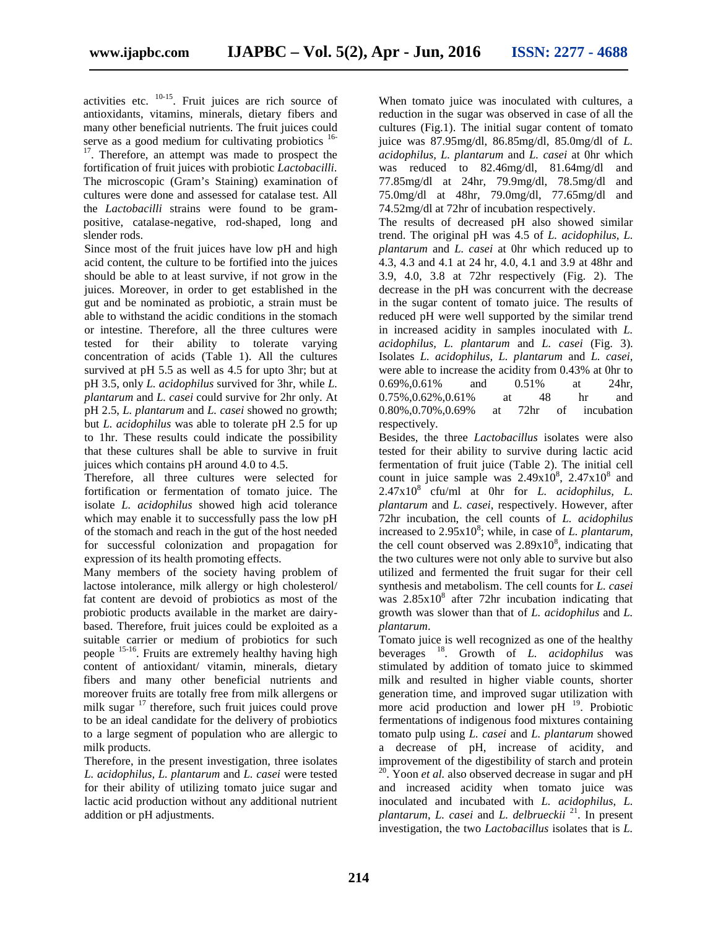activities etc.  $10-15$ . Fruit juices are rich source of antioxidants, vitamins, minerals, dietary fibers and many other beneficial nutrients. The fruit juices could serve as a good medium for cultivating probiotics  $16$ -<sup>17</sup>. Therefore, an attempt was made to prospect the

fortification of fruit juices with probiotic *Lactobacilli*. The microscopic (Gram's Staining) examination of cultures were done and assessed for catalase test. All the *Lactobacilli* strains were found to be gram positive, catalase-negative, rod-shaped, long and slender rods.

Since most of the fruit juices have low pH and high acid content, the culture to be fortified into the juices should be able to at least survive, if not grow in the juices. Moreover, in order to get established in the gut and be nominated as probiotic, a strain must be able to withstand the acidic conditions in the stomach or intestine. Therefore, all the three cultures were tested for their ability to tolerate varying concentration of acids (Table 1). All the cultures survived at pH 5.5 as well as 4.5 for upto 3hr; but at pH 3.5, only *L. acidophilus* survived for 3hr, while *L. plantarum* and *L. casei* could survive for 2hr only. At pH 2.5, *L. plantarum* and *L. casei* showed no growth; but *L. acidophilus* was able to tolerate pH 2.5 for up to 1hr. These results could indicate the possibility that these cultures shall be able to survive in fruit juices which contains pH around 4.0 to 4.5.

Therefore, all three cultures were selected for fortification or fermentation of tomato juice. The isolate *L. acidophilus* showed high acid tolerance which may enable it to successfully pass the low pH of the stomach and reach in the gut of the host needed for successful colonization and propagation for expression of its health promoting effects.

Many members of the society having problem of lactose intolerance, milk allergy or high cholesterol/ fat content are devoid of probiotics as most of the probiotic products available in the market are dairy based. Therefore, fruit juices could be exploited as a suitable carrier or medium of probiotics for such people 15-16. Fruits are extremely healthy having high content of antioxidant/ vitamin, minerals, dietary fibers and many other beneficial nutrients and moreover fruits are totally free from milk allergens or milk sugar <sup>17</sup> therefore, such fruit juices could prove to be an ideal candidate for the delivery of probiotics to a large segment of population who are allergic to milk products.

Therefore, in the present investigation, three isolates *L. acidophilus, L. plantarum* and *L. casei* were tested for their ability of utilizing tomato juice sugar and lactic acid production without any additional nutrient addition or pH adjustments.

When tomato juice was inoculated with cultures, a reduction in the sugar was observed in case of all the cultures (Fig.1). The initial sugar content of tomato juice was 87.95mg/dl, 86.85mg/dl, 85.0mg/dl of *L. acidophilus, L. plantarum* and *L. casei* at 0hr which was reduced to 82.46mg/dl, 81.64mg/dl and 77.85mg/dl at 24hr, 79.9mg/dl, 78.5mg/dl and 75.0mg/dl at 48hr, 79.0mg/dl, 77.65mg/dl and 74.52mg/dl at 72hr of incubation respectively.

The results of decreased pH also showed similar trend. The original pH was 4.5 of *L. acidophilus, L. plantarum* and *L. casei* at 0hr which reduced up to 4.3, 4.3 and 4.1 at 24 hr, 4.0, 4.1 and 3.9 at 48hr and 3.9, 4.0, 3.8 at 72hr respectively (Fig. 2). The decrease in the pH was concurrent with the decrease in the sugar content of tomato juice. The results of reduced pH were well supported by the similar trend in increased acidity in samples inoculated with *L. acidophilus, L. plantarum* and *L. casei* (Fig. 3). Isolates *L. acidophilus, L. plantarum* and *L. casei*, were able to increase the acidity from 0.43% at 0hr to 0.69%,0.61% and 0.51% at 24hr, 0.75%,0.62%,0.61% at 48 hr and 0.80%,0.70%,0.69% at 72hr of incubation respectively.

Besides, the three *Lactobacillus* isolates were also tested for their ability to survive during lactic acid fermentation of fruit juice (Table 2). The initial cell count in juice sample was  $2.49x10^8$ ,  $2.47x10^8$  and 2.47x10<sup>8</sup> cfu/ml at 0hr for *L. acidophilus, L. plantarum* and *L. casei*, respectively. However, after 72hr incubation, the cell counts of *L. acidophilus* increased to 2.95x10<sup>8</sup>; while, in case of *L. plantarum*, the cell count observed was  $2.89x10^8$ , indicating that the two cultures were not only able to survive but also utilized and fermented the fruit sugar for their cell synthesis and metabolism. The cell counts for *L. casei* was  $2.85x10^8$  after 72hr incubation indicating that growth was slower than that of *L. acidophilus* and *L. plantarum*.

Tomato juice is well recognized as one of the healthy beverages <sup>18</sup> . Growth of *L. acidophilus* was stimulated by addition of tomato juice to skimmed milk and resulted in higher viable counts, shorter generation time, and improved sugar utilization with more acid production and lower  $pH^{-19}$ . Probiotic fermentations of indigenous food mixtures containing tomato pulp using *L. casei* and *L. plantarum* showed a decrease of pH, increase of acidity, and improvement of the digestibility of starch and protein <sup>20</sup>. Yoon *et al.* also observed decrease in sugar and pH and increased acidity when tomato juice was inoculated and incubated with *L. acidophilus*, *L.* plantarum, *L. casei* and *L. delbrueckii* <sup>21</sup>. In present investigation, the two *Lactobacillus* isolates that is *L.*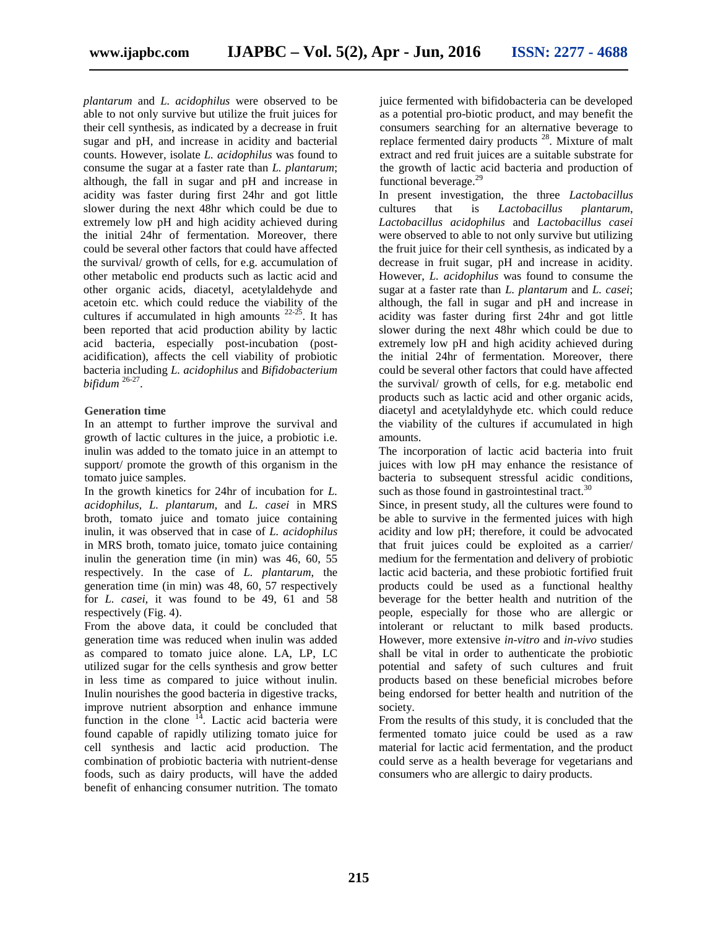*plantarum* and *L. acidophilus* were observed to be able to not only survive but utilize the fruit juices for their cell synthesis, as indicated by a decrease in fruit sugar and pH, and increase in acidity and bacterial counts. However, isolate *L. acidophilus* was found to consume the sugar at a faster rate than *L. plantarum*; although, the fall in sugar and pH and increase in acidity was faster during first 24hr and got little slower during the next 48hr which could be due to extremely low pH and high acidity achieved during the initial 24hr of fermentation. Moreover, there could be several other factors that could have affected the survival/ growth of cells, for e.g. accumulation of other metabolic end products such as lactic acid and other organic acids, diacetyl, acetylaldehyde and acetoin etc. which could reduce the viability of the cultures if accumulated in high amounts  $22-25$ . It has been reported that acid production ability by lactic acid bacteria, especially post-incubation (post acidification), affects the cell viability of probiotic bacteria including *L. acidophilus* and *Bifidobacterium bifidum* 26-27 .

## **Generation time**

In an attempt to further improve the survival and growth of lactic cultures in the juice, a probiotic i.e. inulin was added to the tomato juice in an attempt to support/ promote the growth of this organism in the tomato juice samples.

In the growth kinetics for 24hr of incubation for *L. acidophilus, L. plantarum,* and *L. casei* in MRS broth, tomato juice and tomato juice containing inulin, it was observed that in case of *L. acidophilus* in MRS broth, tomato juice, tomato juice containing inulin the generation time (in min) was 46, 60, 55 respectively. In the case of *L. plantarum*, the generation time (in min) was 48, 60, 57 respectively for *L. casei,* it was found to be 49, 61 and 58 respectively (Fig. 4).

From the above data, it could be concluded that generation time was reduced when inulin was added as compared to tomato juice alone. LA, LP, LC utilized sugar for the cells synthesis and grow better in less time as compared to juice without inulin. Inulin nourishes the good bacteria in digestive tracks, improve nutrient absorption and enhance immune function in the clone  $14$ . Lactic acid bacteria were found capable of rapidly utilizing tomato juice for cell synthesis and lactic acid production. The combination of probiotic bacteria with nutrient-dense foods, such as dairy products, will have the added benefit of enhancing consumer nutrition. The tomato

juice fermented with bifidobacteria can be developed as a potential pro-biotic product, and may benefit the consumers searching for an alternative beverage to replace fermented dairy products<sup>28</sup>. Mixture of malt extract and red fruit juices are a suitable substrate for the growth of lactic acid bacteria and production of functional beverage.<sup>29</sup>

In present investigation, the three *Lactobacillus* that is *Lactobacillus plantarum*, *Lactobacillus acidophilus* and *Lactobacillus casei* were observed to able to not only survive but utilizing the fruit juice for their cell synthesis, as indicated by a decrease in fruit sugar, pH and increase in acidity. However, *L. acidophilus* was found to consume the sugar at a faster rate than *L. plantarum* and *L. casei*; although, the fall in sugar and pH and increase in acidity was faster during first 24hr and got little slower during the next 48hr which could be due to extremely low pH and high acidity achieved during the initial 24hr of fermentation. Moreover, there could be several other factors that could have affected the survival/ growth of cells, for e.g. metabolic end products such as lactic acid and other organic acids, diacetyl and acetylaldyhyde etc. which could reduce the viability of the cultures if accumulated in high amounts.

The incorporation of lactic acid bacteria into fruit juices with low pH may enhance the resistance of bacteria to subsequent stressful acidic conditions, such as those found in gastrointestinal tract.<sup>30</sup>

Since, in present study, all the cultures were found to be able to survive in the fermented juices with high acidity and low pH; therefore, it could be advocated that fruit juices could be exploited as a carrier/ medium for the fermentation and delivery of probiotic lactic acid bacteria, and these probiotic fortified fruit products could be used as a functional healthy beverage for the better health and nutrition of the people, especially for those who are allergic or intolerant or reluctant to milk based products. However, more extensive *in-vitro* and *in-vivo* studies shall be vital in order to authenticate the probiotic potential and safety of such cultures and fruit products based on these beneficial microbes before being endorsed for better health and nutrition of the society.

From the results of this study, it is concluded that the fermented tomato juice could be used as a raw material for lactic acid fermentation, and the product could serve as a health beverage for vegetarians and consumers who are allergic to dairy products.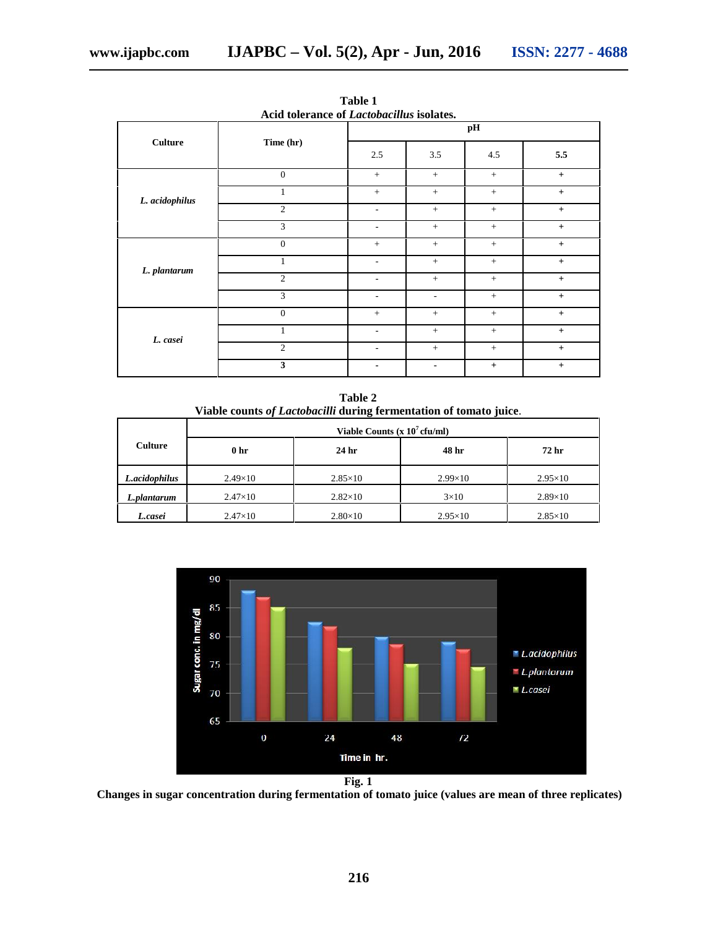| www.ijapbc.com |  |  |
|----------------|--|--|

| <b>Culture</b> | Time (hr)        |                          | Acid tolerance of <i>Lactobacillus</i> isolates.<br>pH |                  |                                  |  |
|----------------|------------------|--------------------------|--------------------------------------------------------|------------------|----------------------------------|--|
|                |                  | 2.5                      | 3.5                                                    | 4.5              | 5.5                              |  |
|                | $\mathbf{0}$     | $+$                      | $+$                                                    | $+$              | $+$                              |  |
| L. acidophilus | $\mathbf{1}$     | $+$                      | $+$                                                    | $+$              | $+$                              |  |
|                | $\mathfrak{2}$   | ٠                        | $+$                                                    | $+$              | $\begin{array}{c} + \end{array}$ |  |
|                | 3                | ٠                        | $+$                                                    | $+$              | $+$                              |  |
|                | $\mathbf{0}$     | $+$                      | $+$                                                    | $+$              | $+$                              |  |
| L. plantarum   | 1                | $\overline{\phantom{a}}$ | $+$                                                    | $+$              | $+$                              |  |
|                | $\mathbf{2}$     |                          | $+$                                                    | $+$              | $+$                              |  |
|                | 3                | ۰                        | -                                                      | $+$              | $\boldsymbol{+}$                 |  |
| L. casei       | $\boldsymbol{0}$ | $+$                      | $+$                                                    | $\boldsymbol{+}$ | $\boldsymbol{+}$                 |  |
|                | 1                | $\overline{\phantom{a}}$ | $+$                                                    | $+$              | $+$                              |  |
|                | $\overline{2}$   | $\overline{\phantom{a}}$ | $+$                                                    | $+$              | $+$                              |  |
|                | $\mathbf{3}$     | $\blacksquare$           | ٠                                                      | $^{+}$           | $\begin{array}{c} + \end{array}$ |  |

**Table 1**

**Table 2 Viable counts** *of Lactobacilli* **during fermentation of tomato juice**.

|                | Viable Counts (x $10^7$ cfu/ml) |                  |                  |                  |  |  |
|----------------|---------------------------------|------------------|------------------|------------------|--|--|
| <b>Culture</b> | 0 <sub>hr</sub>                 | 24 <sub>hr</sub> | 48 hr            | 72 hr            |  |  |
| L.acidophilus  | $2.49\times10^{-7}$             | $2.85 \times 10$ | $2.99\times10$   | $2.95 \times 10$ |  |  |
| L.plantarum    | $2.47\times10^{-7}$             | $2.82\times10$   | $3\times10$      | $2.89\times10$   |  |  |
| L.casei        | $2.47\times10^{-7}$             | $2.80\times10$   | $2.95 \times 10$ | $2.85 \times 10$ |  |  |



**Fig. 1**

**Changes in sugar concentration during fermentation of tomato juice (values are mean of three replicates)**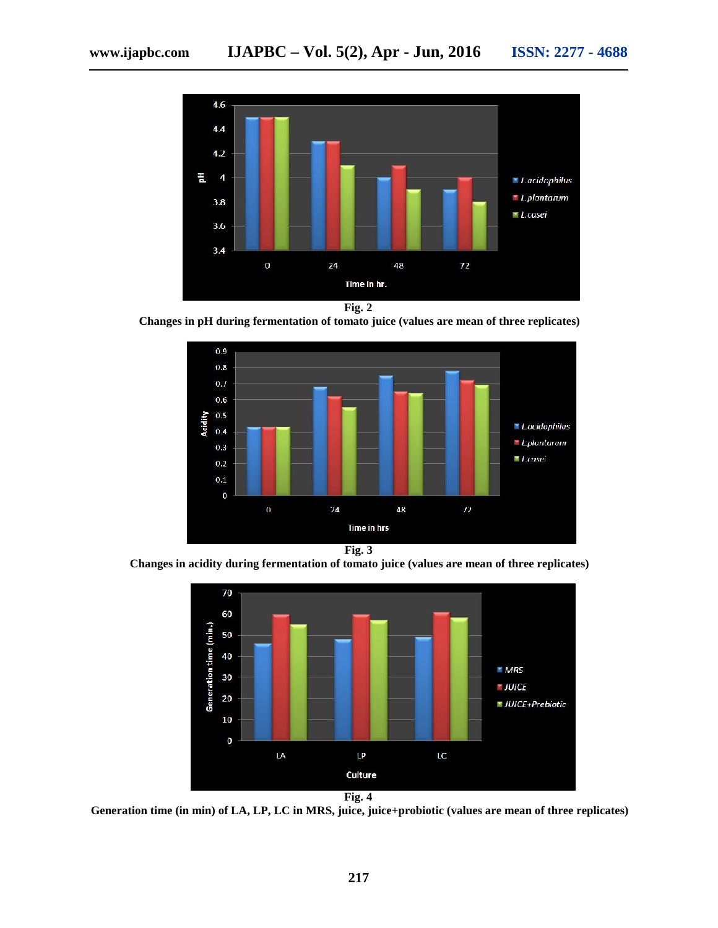

**Changes in pH during fermentation of tomato juice (values are mean of three replicates)**



**Changes in acidity during fermentation of tomato juice (values are mean of three replicates)**



**Fig. 4**

**Generation time (in min) of LA, LP, LC in MRS, juice, juice+probiotic (values are mean of three replicates)**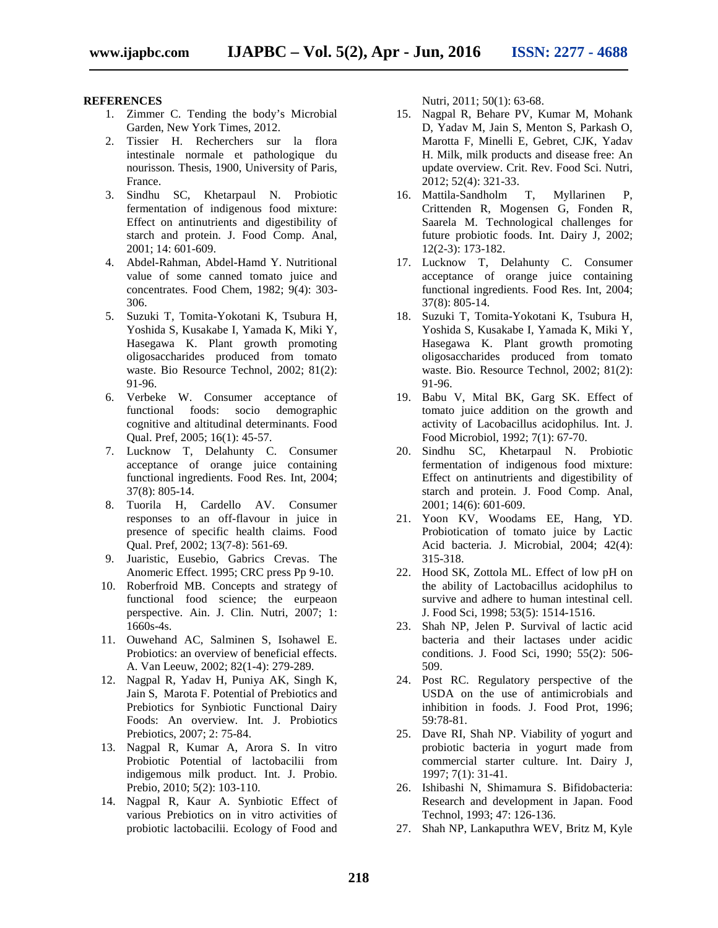## **REFERENCES**

- 1. Zimmer C. Tending the body's Microbial Garden, New York Times, 2012.
- 2. Tissier H. Recherchers sur la flora intestinale normale et pathologique du nourisson. Thesis, 1900, University of Paris, France.
- 3. Sindhu SC, Khetarpaul N. Probiotic fermentation of indigenous food mixture: Effect on antinutrients and digestibility of starch and protein. J. Food Comp. Anal, 2001; 14: 601-609.
- 4. Abdel-Rahman, Abdel-Hamd Y. Nutritional value of some canned tomato juice and concentrates. Food Chem, 1982; 9(4): 303- 306.
- 5. Suzuki T, Tomita-Yokotani K, Tsubura H, Yoshida S, Kusakabe I, Yamada K, Miki Y, Hasegawa K. Plant growth promoting oligosaccharides produced from tomato waste. Bio Resource Technol, 2002; 81(2): 91-96.
- 6. Verbeke W. Consumer acceptance of functional foods: socio demographic cognitive and altitudinal determinants. Food Qual. Pref, 2005; 16(1): 45-57.
- 7. Lucknow T, Delahunty C. Consumer acceptance of orange juice containing functional ingredients. Food Res. Int, 2004; 37(8): 805-14.
- 8. Tuorila H, Cardello AV. Consumer responses to an off-flavour in juice in presence of specific health claims. Food Qual. Pref, 2002; 13(7-8): 561-69.
- 9. Juaristic, Eusebio, Gabrics Crevas. The Anomeric Effect. 1995; CRC press Pp 9-10.
- 10. Roberfroid MB. Concepts and strategy of functional food science; the eurpeaon perspective. Ain. J. Clin. Nutri, 2007; 1: 1660s-4s.
- 11. Ouwehand AC, Salminen S, Isohawel E. Probiotics: an overview of beneficial effects. A. Van Leeuw, 2002; 82(1-4): 279-289.
- 12. Nagpal R, Yadav H, Puniya AK, Singh K, Jain S, Marota F. Potential of Prebiotics and Prebiotics for Synbiotic Functional Dairy Foods: An overview. Int. J. Probiotics Prebiotics, 2007; 2: 75-84.
- 13. Nagpal R, Kumar A, Arora S. In vitro Probiotic Potential of lactobacilii from indigemous milk product. Int. J. Probio. Prebio, 2010; 5(2): 103-110.
- 14. Nagpal R, Kaur A. Synbiotic Effect of various Prebiotics on in vitro activities of probiotic lactobacilii. Ecology of Food and

Nutri, 2011; 50(1): 63-68.

- 15. Nagpal R, Behare PV, Kumar M, Mohank D, Yadav M, Jain S, Menton S, Parkash O, Marotta F, Minelli E, Gebret, CJK, Yadav H. Milk, milk products and disease free: An update overview. Crit. Rev. Food Sci. Nutri, 2012; 52(4): 321-33.
- 16. Mattila-Sandholm T, Myllarinen P, Crittenden R, Mogensen G, Fonden R, Saarela M. Technological challenges for future probiotic foods. Int. Dairy J, 2002; 12(2-3): 173-182.
- 17. Lucknow T, Delahunty C. Consumer acceptance of orange juice containing functional ingredients. Food Res. Int, 2004; 37(8): 805-14.
- 18. Suzuki T, Tomita-Yokotani K, Tsubura H, Yoshida S, Kusakabe I, Yamada K, Miki Y, Hasegawa K. Plant growth promoting oligosaccharides produced from tomato waste. Bio. Resource Technol, 2002; 81(2): 91-96.
- 19. Babu V, Mital BK, Garg SK. Effect of tomato juice addition on the growth and activity of Lacobacillus acidophilus. Int. J. Food Microbiol, 1992; 7(1): 67-70.
- 20. Sindhu SC, Khetarpaul N. Probiotic fermentation of indigenous food mixture: Effect on antinutrients and digestibility of starch and protein. J. Food Comp. Anal, 2001; 14(6): 601-609.
- 21. Yoon KV, Woodams EE, Hang, YD. Probiotication of tomato juice by Lactic Acid bacteria. J. Microbial, 2004; 42(4): 315-318.
- 22. Hood SK, Zottola ML. Effect of low pH on the ability of Lactobacillus acidophilus to survive and adhere to human intestinal cell. J. Food Sci, 1998; 53(5): 1514-1516.
- 23. Shah NP, Jelen P. Survival of lactic acid bacteria and their lactases under acidic conditions. J. Food Sci, 1990; 55(2): 506- 509.
- 24. Post RC. Regulatory perspective of the USDA on the use of antimicrobials and inhibition in foods. J. Food Prot, 1996; 59:78-81.
- 25. Dave RI, Shah NP. Viability of yogurt and probiotic bacteria in yogurt made from commercial starter culture. Int. Dairy J, 1997; 7(1): 31-41.
- 26. Ishibashi N, Shimamura S. Bifidobacteria: Research and development in Japan. Food Technol, 1993; 47: 126-136.
- 27. Shah NP, Lankaputhra WEV, Britz M, Kyle